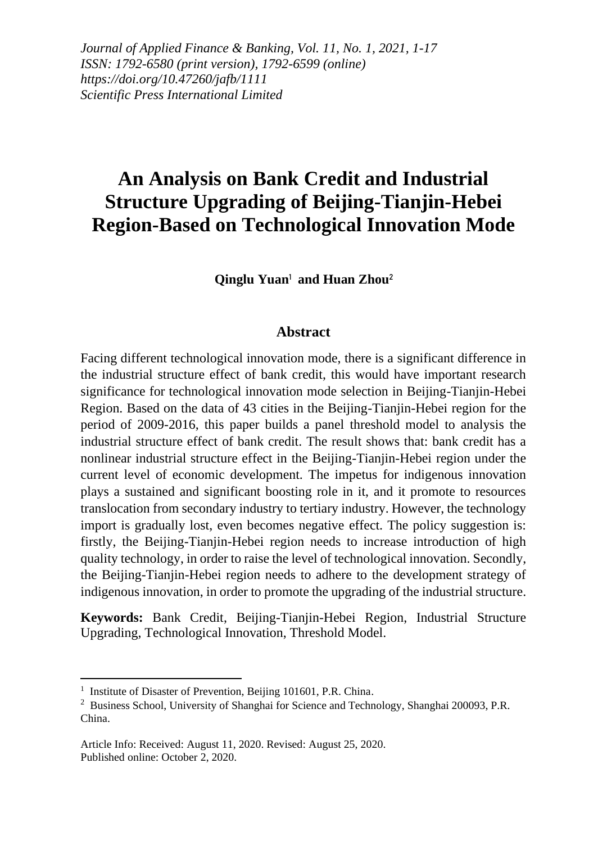*Journal of Applied Finance & Banking, Vol. 11, No. 1, 2021, 1-17 ISSN: 1792-6580 (print version), 1792-6599 (online) https://doi.org/10.47260/jafb/1111 Scientific Press International Limited*

# **An Analysis on Bank Credit and Industrial Structure Upgrading of Beijing-Tianjin-Hebei Region-Based on Technological Innovation Mode**

**Qinglu Yuan**<sup>1</sup> **and Huan Zhou**<sup>2</sup>

#### **Abstract**

Facing different technological innovation mode, there is a significant difference in the industrial structure effect of bank credit, this would have important research significance for technological innovation mode selection in Beijing-Tianjin-Hebei Region. Based on the data of 43 cities in the Beijing-Tianjin-Hebei region for the period of 2009-2016, this paper builds a panel threshold model to analysis the industrial structure effect of bank credit. The result shows that: bank credit has a nonlinear industrial structure effect in the Beijing-Tianjin-Hebei region under the current level of economic development. The impetus for indigenous innovation plays a sustained and significant boosting role in it, and it promote to resources translocation from secondary industry to tertiary industry. However, the technology import is gradually lost, even becomes negative effect. The policy suggestion is: firstly, the Beijing-Tianjin-Hebei region needs to increase introduction of high quality technology, in order to raise the level of technological innovation. Secondly, the Beijing-Tianjin-Hebei region needs to adhere to the development strategy of indigenous innovation, in order to promote the upgrading of the industrial structure.

**Keywords:** Bank Credit, Beijing-Tianjin-Hebei Region, Industrial Structure Upgrading, Technological Innovation, Threshold Model.

<sup>&</sup>lt;sup>1</sup> Institute of Disaster of Prevention, Beijing 101601, P.R. China.

<sup>&</sup>lt;sup>2</sup> Business School, University of Shanghai for Science and Technology, Shanghai 200093, P.R. China.

Article Info: Received: August 11, 2020. Revised: August 25, 2020. Published online: October 2, 2020.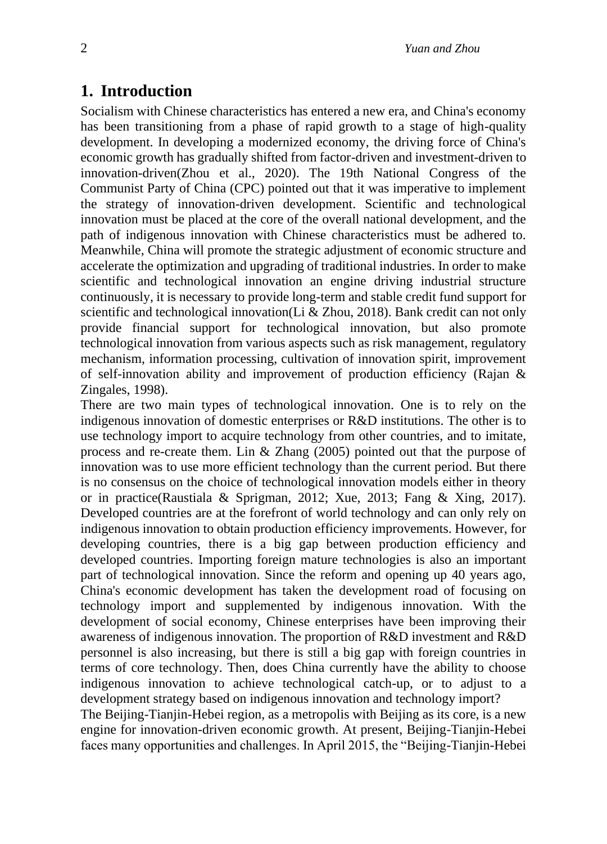## **1. Introduction**

Socialism with Chinese characteristics has entered a new era, and China's economy has been transitioning from a phase of rapid growth to a stage of high-quality development. In developing a modernized economy, the driving force of China's economic growth has gradually shifted from factor-driven and investment-driven to innovation-driven(Zhou et al., 2020). The 19th National Congress of the Communist Party of China (CPC) pointed out that it was imperative to implement the strategy of innovation-driven development. Scientific and technological innovation must be placed at the core of the overall national development, and the path of indigenous innovation with Chinese characteristics must be adhered to. Meanwhile, China will promote the strategic adjustment of economic structure and accelerate the optimization and upgrading of traditional industries. In order to make scientific and technological innovation an engine driving industrial structure continuously, it is necessary to provide long-term and stable credit fund support for scientific and technological innovation(Li & Zhou, 2018). Bank credit can not only provide financial support for technological innovation, but also promote technological innovation from various aspects such as risk management, regulatory mechanism, information processing, cultivation of innovation spirit, improvement of self-innovation ability and improvement of production efficiency (Rajan & Zingales, 1998).

There are two main types of technological innovation. One is to rely on the indigenous innovation of domestic enterprises or R&D institutions. The other is to use technology import to acquire technology from other countries, and to imitate, process and re-create them. Lin & Zhang (2005) pointed out that the purpose of innovation was to use more efficient technology than the current period. But there is no consensus on the choice of technological innovation models either in theory or in practice(Raustiala & Sprigman, 2012; Xue, 2013; Fang & Xing, 2017). Developed countries are at the forefront of world technology and can only rely on indigenous innovation to obtain production efficiency improvements. However, for developing countries, there is a big gap between production efficiency and developed countries. Importing foreign mature technologies is also an important part of technological innovation. Since the reform and opening up 40 years ago, China's economic development has taken the development road of focusing on technology import and supplemented by indigenous innovation. With the development of social economy, Chinese enterprises have been improving their awareness of indigenous innovation. The proportion of R&D investment and R&D personnel is also increasing, but there is still a big gap with foreign countries in terms of core technology. Then, does China currently have the ability to choose indigenous innovation to achieve technological catch-up, or to adjust to a development strategy based on indigenous innovation and technology import?

The Beijing-Tianjin-Hebei region, as a metropolis with Beijing as its core, is a new engine for innovation-driven economic growth. At present, Beijing-Tianjin-Hebei faces many opportunities and challenges. In April 2015, the "Beijing-Tianjin-Hebei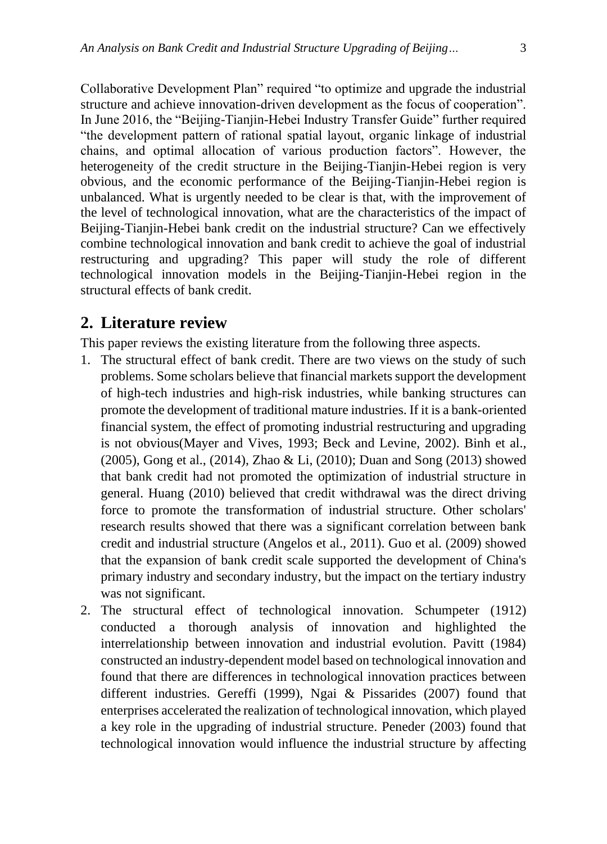Collaborative Development Plan" required "to optimize and upgrade the industrial structure and achieve innovation-driven development as the focus of cooperation". In June 2016, the "Beijing-Tianjin-Hebei Industry Transfer Guide" further required "the development pattern of rational spatial layout, organic linkage of industrial chains, and optimal allocation of various production factors". However, the heterogeneity of the credit structure in the Beijing-Tianjin-Hebei region is very obvious, and the economic performance of the Beijing-Tianjin-Hebei region is unbalanced. What is urgently needed to be clear is that, with the improvement of the level of technological innovation, what are the characteristics of the impact of Beijing-Tianjin-Hebei bank credit on the industrial structure? Can we effectively combine technological innovation and bank credit to achieve the goal of industrial restructuring and upgrading? This paper will study the role of different technological innovation models in the Beijing-Tianjin-Hebei region in the structural effects of bank credit.

#### **2. Literature review**

This paper reviews the existing literature from the following three aspects.

- 1. The structural effect of bank credit. There are two views on the study of such problems. Some scholars believe that financial markets support the development of high-tech industries and high-risk industries, while banking structures can promote the development of traditional mature industries. If it is a bank-oriented financial system, the effect of promoting industrial restructuring and upgrading is not obvious(Mayer and Vives, 1993; Beck and Levine, 2002). Binh et al., (2005), Gong et al., (2014), Zhao & Li, (2010); Duan and Song (2013) showed that bank credit had not promoted the optimization of industrial structure in general. Huang (2010) believed that credit withdrawal was the direct driving force to promote the transformation of industrial structure. Other scholars' research results showed that there was a significant correlation between bank credit and industrial structure (Angelos et al., 2011). Guo et al. (2009) showed that the expansion of bank credit scale supported the development of China's primary industry and secondary industry, but the impact on the tertiary industry was not significant.
- 2. The structural effect of technological innovation. Schumpeter (1912) conducted a thorough analysis of innovation and highlighted the interrelationship between innovation and industrial evolution. Pavitt (1984) constructed an industry-dependent model based on technological innovation and found that there are differences in technological innovation practices between different industries. Gereffi (1999), Ngai & Pissarides (2007) found that enterprises accelerated the realization of technological innovation, which played a key role in the upgrading of industrial structure. Peneder (2003) found that technological innovation would influence the industrial structure by affecting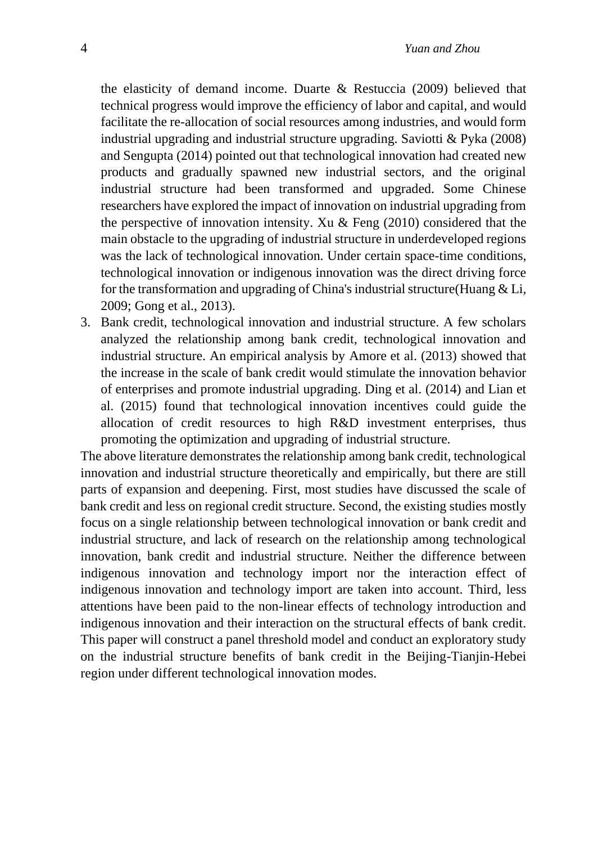the elasticity of demand income. Duarte & Restuccia (2009) believed that technical progress would improve the efficiency of labor and capital, and would facilitate the re-allocation of social resources among industries, and would form industrial upgrading and industrial structure upgrading. Saviotti & Pyka (2008) and Sengupta (2014) pointed out that technological innovation had created new products and gradually spawned new industrial sectors, and the original industrial structure had been transformed and upgraded. Some Chinese researchers have explored the impact of innovation on industrial upgrading from the perspective of innovation intensity. Xu & Feng  $(2010)$  considered that the main obstacle to the upgrading of industrial structure in underdeveloped regions was the lack of technological innovation. Under certain space-time conditions, technological innovation or indigenous innovation was the direct driving force for the transformation and upgrading of China's industrial structure(Huang  $&$  Li, 2009; Gong et al., 2013).

3. Bank credit, technological innovation and industrial structure. A few scholars analyzed the relationship among bank credit, technological innovation and industrial structure. An empirical analysis by Amore et al. (2013) showed that the increase in the scale of bank credit would stimulate the innovation behavior of enterprises and promote industrial upgrading. Ding et al. (2014) and Lian et al. (2015) found that technological innovation incentives could guide the allocation of credit resources to high R&D investment enterprises, thus promoting the optimization and upgrading of industrial structure.

The above literature demonstrates the relationship among bank credit, technological innovation and industrial structure theoretically and empirically, but there are still parts of expansion and deepening. First, most studies have discussed the scale of bank credit and less on regional credit structure. Second, the existing studies mostly focus on a single relationship between technological innovation or bank credit and industrial structure, and lack of research on the relationship among technological innovation, bank credit and industrial structure. Neither the difference between indigenous innovation and technology import nor the interaction effect of indigenous innovation and technology import are taken into account. Third, less attentions have been paid to the non-linear effects of technology introduction and indigenous innovation and their interaction on the structural effects of bank credit. This paper will construct a panel threshold model and conduct an exploratory study on the industrial structure benefits of bank credit in the Beijing-Tianjin-Hebei region under different technological innovation modes.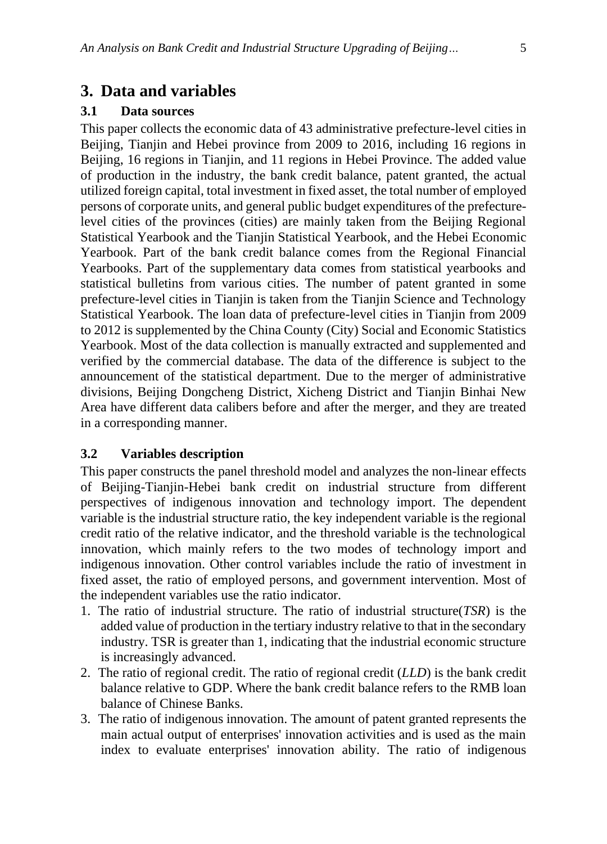## **3. Data and variables**

### **3.1 Data sources**

This paper collects the economic data of 43 administrative prefecture-level cities in Beijing, Tianjin and Hebei province from 2009 to 2016, including 16 regions in Beijing, 16 regions in Tianjin, and 11 regions in Hebei Province. The added value of production in the industry, the bank credit balance, patent granted, the actual utilized foreign capital, total investment in fixed asset, the total number of employed persons of corporate units, and general public budget expenditures of the prefecturelevel cities of the provinces (cities) are mainly taken from the Beijing Regional Statistical Yearbook and the Tianjin Statistical Yearbook, and the Hebei Economic Yearbook. Part of the bank credit balance comes from the Regional Financial Yearbooks. Part of the supplementary data comes from statistical yearbooks and statistical bulletins from various cities. The number of patent granted in some prefecture-level cities in Tianjin is taken from the Tianjin Science and Technology Statistical Yearbook. The loan data of prefecture-level cities in Tianjin from 2009 to 2012 is supplemented by the China County (City) Social and Economic Statistics Yearbook. Most of the data collection is manually extracted and supplemented and verified by the commercial database. The data of the difference is subject to the announcement of the statistical department. Due to the merger of administrative divisions, Beijing Dongcheng District, Xicheng District and Tianjin Binhai New Area have different data calibers before and after the merger, and they are treated in a corresponding manner.

#### **3.2 Variables description**

This paper constructs the panel threshold model and analyzes the non-linear effects of Beijing-Tianjin-Hebei bank credit on industrial structure from different perspectives of indigenous innovation and technology import. The dependent variable is the industrial structure ratio, the key independent variable is the regional credit ratio of the relative indicator, and the threshold variable is the technological innovation, which mainly refers to the two modes of technology import and indigenous innovation. Other control variables include the ratio of investment in fixed asset, the ratio of employed persons, and government intervention. Most of the independent variables use the ratio indicator.

- 1. The ratio of industrial structure. The ratio of industrial structure(*TSR*) is the added value of production in the tertiary industry relative to that in the secondary industry. TSR is greater than 1, indicating that the industrial economic structure is increasingly advanced.
- 2. The ratio of regional credit. The ratio of regional credit (*LLD*) is the bank credit balance relative to GDP. Where the bank credit balance refers to the RMB loan balance of Chinese Banks.
- 3. The ratio of indigenous innovation. The amount of patent granted represents the main actual output of enterprises' innovation activities and is used as the main index to evaluate enterprises' innovation ability. The ratio of indigenous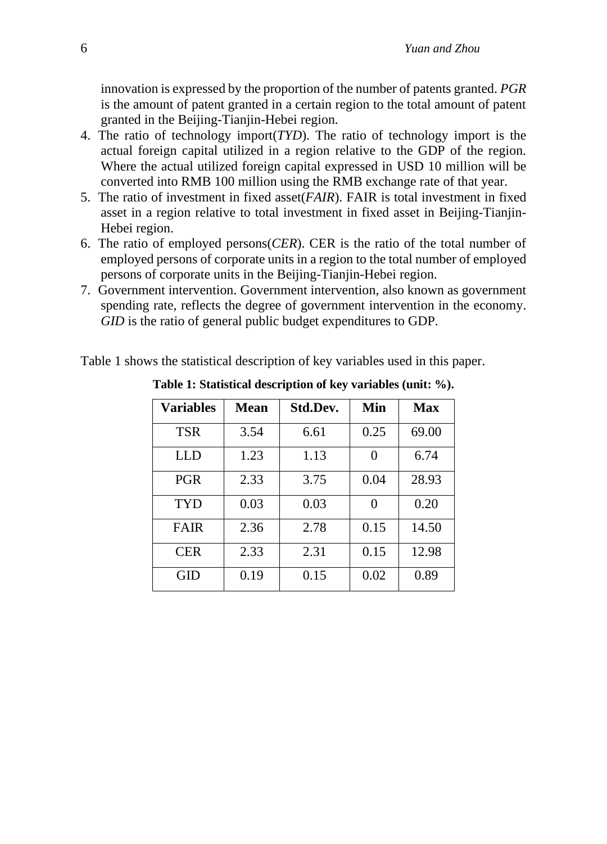innovation is expressed by the proportion of the number of patents granted. *PGR* is the amount of patent granted in a certain region to the total amount of patent granted in the Beijing-Tianjin-Hebei region.

- 4. The ratio of technology import(*TYD*). The ratio of technology import is the actual foreign capital utilized in a region relative to the GDP of the region. Where the actual utilized foreign capital expressed in USD 10 million will be converted into RMB 100 million using the RMB exchange rate of that year.
- 5. The ratio of investment in fixed asset(*FAIR*). FAIR is total investment in fixed asset in a region relative to total investment in fixed asset in Beijing-Tianjin-Hebei region.
- 6. The ratio of employed persons(*CER*). CER is the ratio of the total number of employed persons of corporate units in a region to the total number of employed persons of corporate units in the Beijing-Tianjin-Hebei region.
- 7. Government intervention. Government intervention, also known as government spending rate, reflects the degree of government intervention in the economy. *GID* is the ratio of general public budget expenditures to GDP.

Table 1 shows the statistical description of key variables used in this paper.

| <b>Variables</b> | <b>Mean</b> | Std.Dev. | Min  | <b>Max</b> |
|------------------|-------------|----------|------|------------|
| <b>TSR</b>       | 3.54        | 6.61     | 0.25 | 69.00      |
| <b>LLD</b>       | 1.23        | 1.13     | 0    | 6.74       |
| <b>PGR</b>       | 2.33        | 3.75     | 0.04 | 28.93      |
| TYD              | 0.03        | 0.03     | 0    | 0.20       |
| <b>FAIR</b>      | 2.36        | 2.78     | 0.15 | 14.50      |
| <b>CER</b>       | 2.33        | 2.31     | 0.15 | 12.98      |
| GID              | 0.19        | 0.15     | 0.02 | 0.89       |

**Table 1: Statistical description of key variables (unit: %).**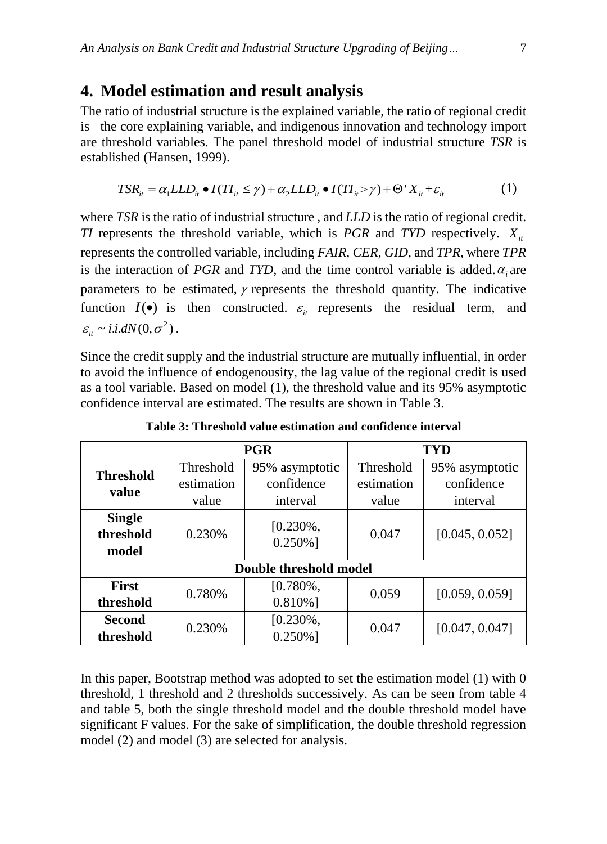#### **4. Model estimation and result analysis**

The ratio of industrial structure is the explained variable, the ratio of regional credit is the core explaining variable, and indigenous innovation and technology import are threshold variables. The panel threshold model of industrial structure *TSR* is established (Hansen, 1999). shed (Hansen, 1999).<br>  $TSR_{it} = \alpha_1 LLD_{it} \bullet I(TI_{it} \le \gamma) + \alpha_2 LLD_{it} \bullet I(TI_{it} > \gamma) + \Theta^{\dagger} X_{it} + \varepsilon_{it}$  (1)

$$
TSR_{ii} = \alpha_1 LLD_{ii} \bullet I(TI_{ii} \le \gamma) + \alpha_2 LLD_{ii} \bullet I(TI_{ii} > \gamma) + \Theta' X_{ii} + \varepsilon_{ii}
$$
 (1)

where *TSR* is the ratio of industrial structure , and *LLD* is the ratio of regional credit. *TI* represents the threshold variable, which is *PGR* and *TYD* respectively.  $X_i$ represents the controlled variable, including *FAIR, CER, GID*, and *TPR*, where *TPR* is the interaction of *PGR* and *TYD*, and the time control variable is added.  $\alpha_i$  are parameters to be estimated,  $\gamma$  represents the threshold quantity. The indicative function  $I(\bullet)$  is then constructed.  $\varepsilon$ <sub>*it*</sub> represents the residual term, and  $\varepsilon_{it} \sim i.i.dN(0,\sigma^2)$ .

Since the credit supply and the industrial structure are mutually influential, in order to avoid the influence of endogenousity, the lag value of the regional credit is used as a tool variable. Based on model (1), the threshold value and its 95% asymptotic confidence interval are estimated. The results are shown in Table 3.

|                                     | <b>PGR</b> |                            | TYD        |                |  |  |
|-------------------------------------|------------|----------------------------|------------|----------------|--|--|
| <b>Threshold</b><br>value           | Threshold  | 95% asymptotic             | Threshold  | 95% asymptotic |  |  |
|                                     | estimation | confidence                 | estimation | confidence     |  |  |
|                                     | value      | interval                   | value      | interval       |  |  |
| <b>Single</b><br>threshold<br>model | 0.230%     | $[0.230\%,$<br>$0.250\%$ ] | 0.047      | [0.045, 0.052] |  |  |
| Double threshold model              |            |                            |            |                |  |  |
| <b>First</b>                        | 0.780%     | $[0.780\%,$                | 0.059      | [0.059, 0.059] |  |  |
| threshold                           |            | $0.810\%$ ]                |            |                |  |  |
| <b>Second</b>                       | 0.230%     | $[0.230\%,$                | 0.047      | [0.047, 0.047] |  |  |
| threshold                           |            | $0.250\%$ ]                |            |                |  |  |

**Table 3: Threshold value estimation and confidence interval**

In this paper, Bootstrap method was adopted to set the estimation model (1) with 0 threshold, 1 threshold and 2 thresholds successively. As can be seen from table 4 and table 5, both the single threshold model and the double threshold model have significant F values. For the sake of simplification, the double threshold regression model (2) and model (3) are selected for analysis.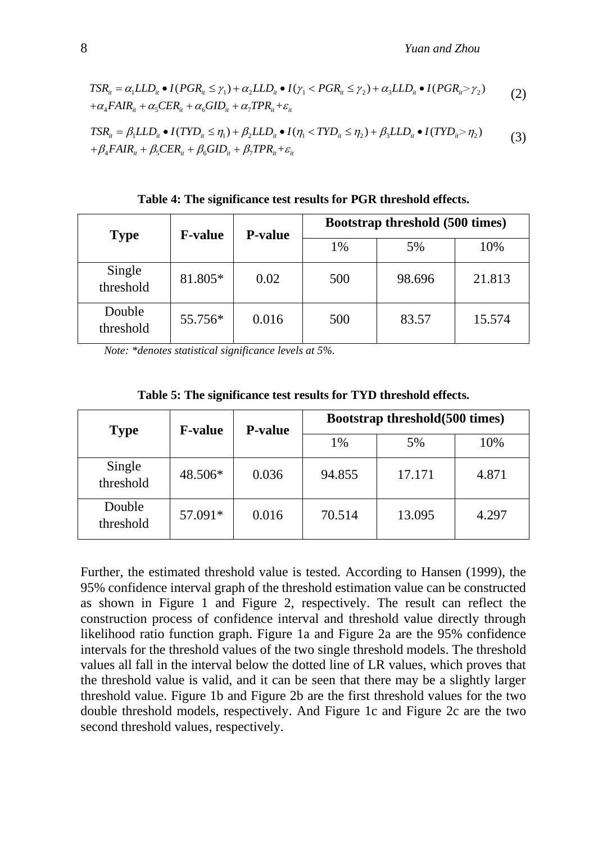*Yuan and Zhou*  
\n
$$
TSR_{ii} = \alpha_1 LLD_{ii} \bullet I(PGR_{ii} \leq \gamma_1) + \alpha_2 LLD_{ii} \bullet I(\gamma_1 < PGR_{ii} \leq \gamma_2) + \alpha_3 LLD_{ii} \bullet I(PGR_{ii} > \gamma_2) \tag{2}
$$
\n
$$
+ \alpha_4 FAIR_{ii} + \alpha_5 CER_{ii} + \alpha_6 GID_{ii} + \alpha_7 TPR_{ii} + \varepsilon_{ii}
$$
\n
$$
TSR_{ii} = \beta_1 LLD_{ii} \bullet I(TYD_{ii} \leq \eta_1) + \beta_2 LLD_{ii} \bullet I(\eta_1 < TYD_{ii} \leq \eta_2) + \beta_3 LLD_{ii} \bullet I(TYD_{ii} > \eta_2) \tag{3}
$$
\n
$$
+ \beta_1 FAP_{ii} + \beta_2 GEP_{ii} + \beta_3 GID_{ii} + \beta_4 TPP_{ii} \leq \eta_1
$$

$$
+ \alpha_4 F A I R_{ii} + \alpha_5 C E R_{ii} + \alpha_6 G I D_{ii} + \alpha_7 T P R_{ii} + \varepsilon_{ii}
$$
  
\n
$$
T S R_{ii} = \beta_1 L L D_{ii} \bullet I(T Y D_{ii} \le \eta_1) + \beta_2 L L D_{ii} \bullet I(\eta_1 < T Y D_{ii} \le \eta_2) + \beta_3 L L D_{ii} \bullet I(T Y D_{ii} > \eta_2)
$$
  
\n
$$
+ \beta_4 F A I R_{ii} + \beta_5 C E R_{ii} + \beta_6 G I D_{ii} + \beta_7 T P R_{ii} + \varepsilon_{ii}
$$
\n(3)

| <b>Type</b>         | <b>F-value</b> | <b>P-value</b> | Bootstrap threshold (500 times) |        |        |
|---------------------|----------------|----------------|---------------------------------|--------|--------|
|                     |                |                | 1%                              | 5%     | 10%    |
| Single<br>threshold | 81.805*        | 0.02           | 500                             | 98.696 | 21.813 |
| Double<br>threshold | 55.756*        | 0.016          | 500                             | 83.57  | 15.574 |

**Table 4: The significance test results for PGR threshold effects.**

*Note: \*denotes statistical significance levels at 5%.*

| <b>Type</b>         | <b>F-value</b> | <b>P-value</b> | Bootstrap threshold(500 times) |        |       |
|---------------------|----------------|----------------|--------------------------------|--------|-------|
|                     |                |                | 1%                             | 5%     | 10%   |
| Single<br>threshold | 48.506*        | 0.036          | 94.855                         | 17.171 | 4.871 |
| Double<br>threshold | 57.091*        | 0.016          | 70.514                         | 13.095 | 4.297 |

**Table 5: The significance test results for TYD threshold effects.**

Further, the estimated threshold value is tested. According to Hansen (1999), the 95% confidence interval graph of the threshold estimation value can be constructed as shown in Figure 1 and Figure 2, respectively. The result can reflect the construction process of confidence interval and threshold value directly through likelihood ratio function graph. Figure 1a and Figure 2a are the 95% confidence intervals for the threshold values of the two single threshold models. The threshold values all fall in the interval below the dotted line of LR values, which proves that the threshold value is valid, and it can be seen that there may be a slightly larger threshold value. Figure 1b and Figure 2b are the first threshold values for the two double threshold models, respectively. And Figure 1c and Figure 2c are the two second threshold values, respectively.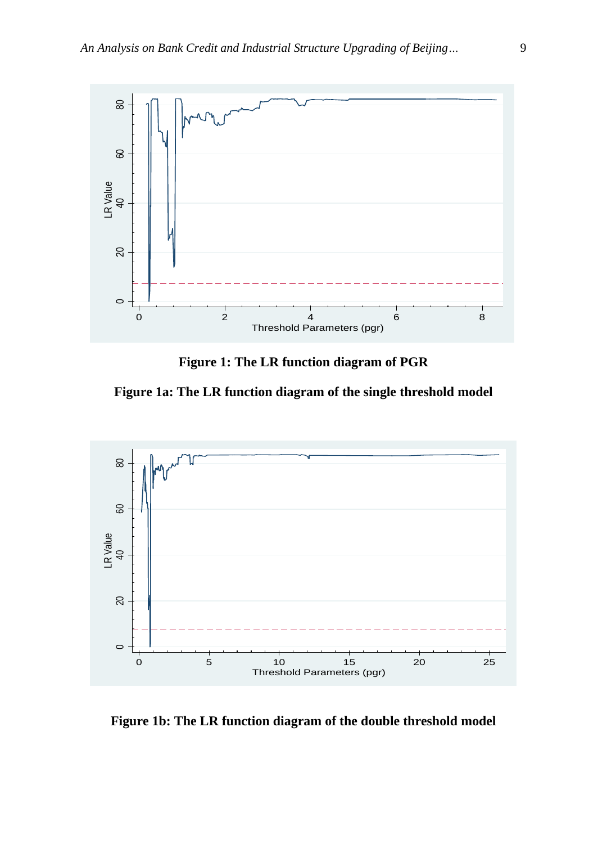

**Figure 1: The LR function diagram of PGR**

**Figure 1a: The LR function diagram of the single threshold model**



**Figure 1b: The LR function diagram of the double threshold model**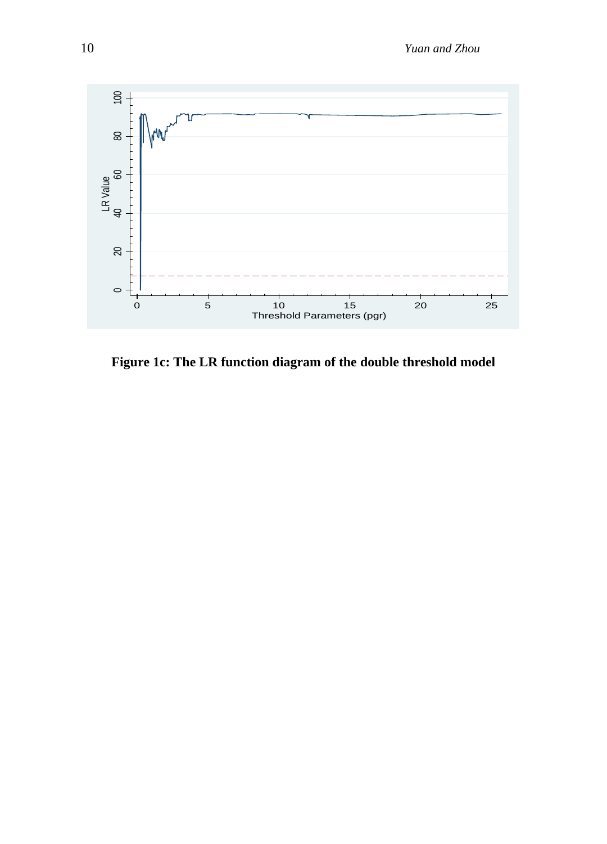

**Figure 1c: The LR function diagram of the double threshold model**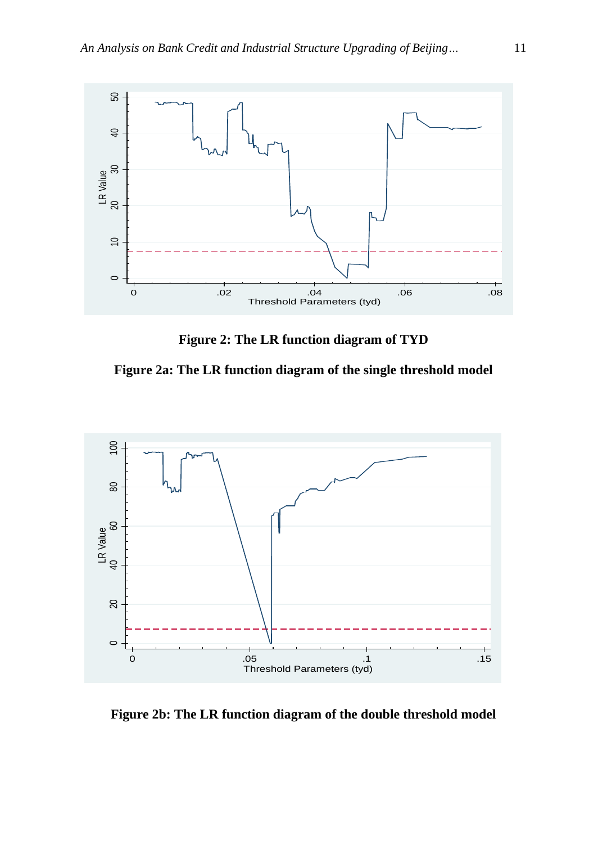

**Figure 2: The LR function diagram of TYD**

**Figure 2a: The LR function diagram of the single threshold model**



**Figure 2b: The LR function diagram of the double threshold model**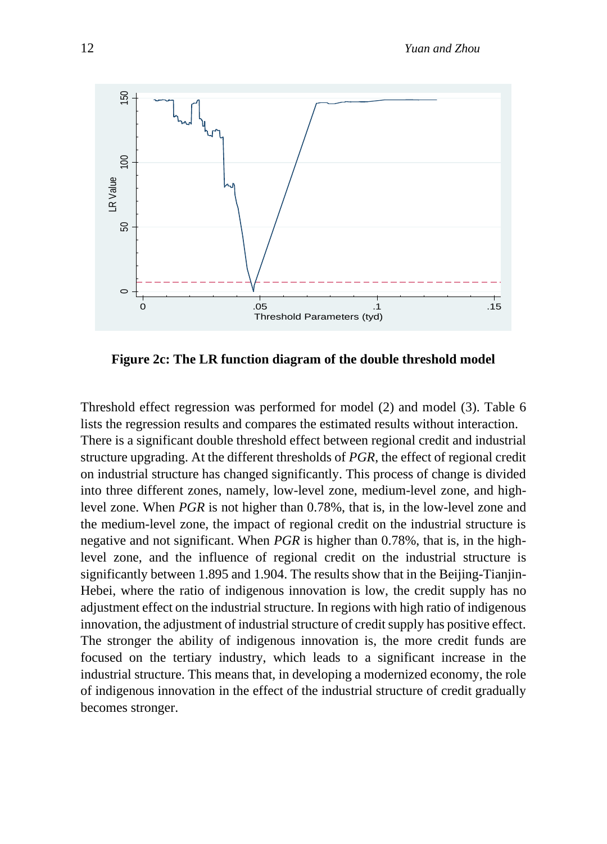

**Figure 2c: The LR function diagram of the double threshold model**

Threshold effect regression was performed for model (2) and model (3). Table 6 lists the regression results and compares the estimated results without interaction. There is a significant double threshold effect between regional credit and industrial structure upgrading. At the different thresholds of *PGR*, the effect of regional credit on industrial structure has changed significantly. This process of change is divided into three different zones, namely, low-level zone, medium-level zone, and highlevel zone. When *PGR* is not higher than 0.78%, that is, in the low-level zone and the medium-level zone, the impact of regional credit on the industrial structure is negative and not significant. When *PGR* is higher than 0.78%, that is, in the highlevel zone, and the influence of regional credit on the industrial structure is significantly between 1.895 and 1.904. The results show that in the Beijing-Tianjin-Hebei, where the ratio of indigenous innovation is low, the credit supply has no adjustment effect on the industrial structure. In regions with high ratio of indigenous innovation, the adjustment of industrial structure of credit supply has positive effect. The stronger the ability of indigenous innovation is, the more credit funds are focused on the tertiary industry, which leads to a significant increase in the industrial structure. This means that, in developing a modernized economy, the role of indigenous innovation in the effect of the industrial structure of credit gradually becomes stronger.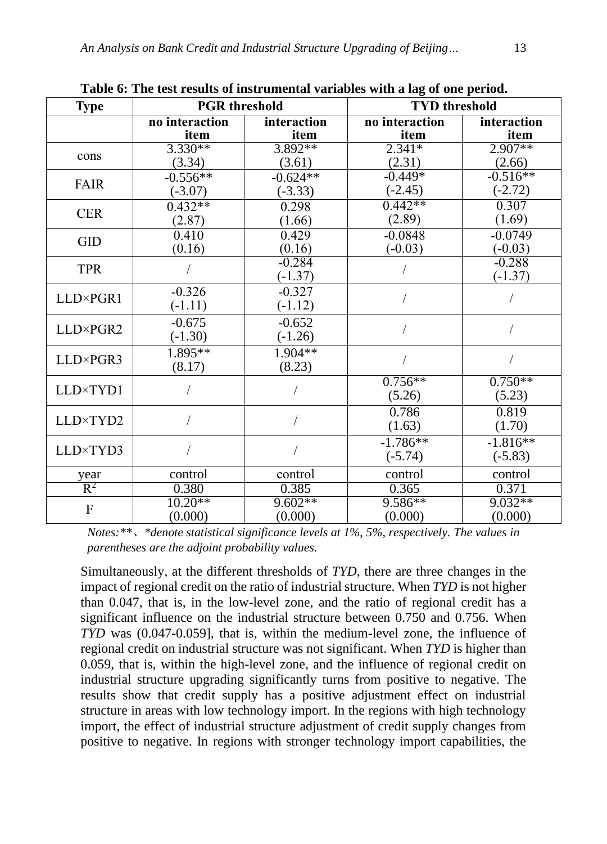| <b>Type</b>    | <b>PGR</b> threshold |             | <b>TYD</b> threshold |                       |  |
|----------------|----------------------|-------------|----------------------|-----------------------|--|
|                | no interaction       | interaction | no interaction       | interaction           |  |
|                | item                 | item        | item                 | item                  |  |
| cons           | $3.330**$            | $3.892**$   | $2.341*$             | $2.907**$             |  |
|                | (3.34)               | (3.61)      | (2.31)               | (2.66)                |  |
|                | $-0.556**$           | $-0.624**$  | $-0.449*$            | $-0.516**$            |  |
| <b>FAIR</b>    | $(-3.07)$            | $(-3.33)$   | $(-2.45)$            | $(-2.72)$             |  |
| <b>CER</b>     | $0.432**$            | 0.298       | $0.442**$            | 0.307                 |  |
|                | (2.87)               | (1.66)      | (2.89)               | (1.69)                |  |
| <b>GID</b>     | 0.410                | 0.429       | $-0.0848$            | $-0.0749$             |  |
|                | (0.16)               | (0.16)      | $(-0.03)$            | $(-0.03)$             |  |
| <b>TPR</b>     |                      | $-0.284$    |                      | $-0.288$              |  |
|                |                      | $(-1.37)$   |                      | $(-1.37)$             |  |
|                | $-0.326$             | $-0.327$    |                      |                       |  |
| LLD×PGR1       | $(-1.11)$            | $(-1.12)$   |                      |                       |  |
|                | $-0.675$             | $-0.652$    |                      |                       |  |
| LLD×PGR2       | $(-1.30)$            | $(-1.26)$   |                      |                       |  |
| LLD×PGR3       | $1.895**$            | $1.904**$   |                      |                       |  |
|                | (8.17)               | (8.23)      |                      |                       |  |
| LLD×TYD1       |                      |             | $0.756**$            | $0.750**$             |  |
|                |                      |             | (5.26)               | (5.23)                |  |
|                |                      |             | 0.786                | 0.819                 |  |
| LLD×TYD2       |                      |             | (1.63)               | (1.70)                |  |
| LLD×TYD3       |                      |             | $-1.786**$           | $-1.\overline{816**}$ |  |
|                |                      |             | $(-5.74)$            | $(-5.83)$             |  |
| year           | control              | control     | control              | control               |  |
| $\mathbb{R}^2$ | 0.380                | 0.385       | 0.365                | 0.371                 |  |
| ${\bf F}$      | $10.20**$            | $9.602**$   | $9.586**$            | 9.032**               |  |
|                | (0.000)              | (0.000)     | (0.000)              | (0.000)               |  |

**Table 6: The test results of instrumental variables with a lag of one period.**

*Notes:\*\**、*\*denote statistical significance levels at 1%, 5%, respectively. The values in parentheses are the adjoint probability values.*

Simultaneously, at the different thresholds of *TYD*, there are three changes in the impact of regional credit on the ratio of industrial structure. When *TYD* is not higher than 0.047, that is, in the low-level zone, and the ratio of regional credit has a significant influence on the industrial structure between 0.750 and 0.756. When *TYD* was (0.047-0.059], that is, within the medium-level zone, the influence of regional credit on industrial structure was not significant. When *TYD* is higher than 0.059, that is, within the high-level zone, and the influence of regional credit on industrial structure upgrading significantly turns from positive to negative. The results show that credit supply has a positive adjustment effect on industrial structure in areas with low technology import. In the regions with high technology import, the effect of industrial structure adjustment of credit supply changes from positive to negative. In regions with stronger technology import capabilities, the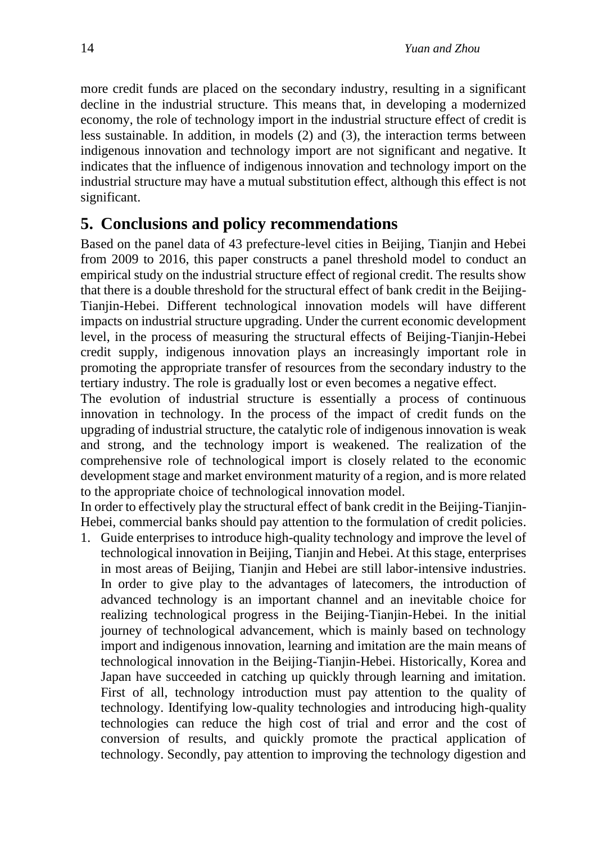more credit funds are placed on the secondary industry, resulting in a significant decline in the industrial structure. This means that, in developing a modernized economy, the role of technology import in the industrial structure effect of credit is less sustainable. In addition, in models (2) and (3), the interaction terms between indigenous innovation and technology import are not significant and negative. It indicates that the influence of indigenous innovation and technology import on the industrial structure may have a mutual substitution effect, although this effect is not significant.

## **5. Conclusions and policy recommendations**

Based on the panel data of 43 prefecture-level cities in Beijing, Tianjin and Hebei from 2009 to 2016, this paper constructs a panel threshold model to conduct an empirical study on the industrial structure effect of regional credit. The results show that there is a double threshold for the structural effect of bank credit in the Beijing-Tianjin-Hebei. Different technological innovation models will have different impacts on industrial structure upgrading. Under the current economic development level, in the process of measuring the structural effects of Beijing-Tianjin-Hebei credit supply, indigenous innovation plays an increasingly important role in promoting the appropriate transfer of resources from the secondary industry to the tertiary industry. The role is gradually lost or even becomes a negative effect.

The evolution of industrial structure is essentially a process of continuous innovation in technology. In the process of the impact of credit funds on the upgrading of industrial structure, the catalytic role of indigenous innovation is weak and strong, and the technology import is weakened. The realization of the comprehensive role of technological import is closely related to the economic development stage and market environment maturity of a region, and is more related to the appropriate choice of technological innovation model.

In order to effectively play the structural effect of bank credit in the Beijing-Tianjin-Hebei, commercial banks should pay attention to the formulation of credit policies.

1. Guide enterprises to introduce high-quality technology and improve the level of technological innovation in Beijing, Tianjin and Hebei. At this stage, enterprises in most areas of Beijing, Tianjin and Hebei are still labor-intensive industries. In order to give play to the advantages of latecomers, the introduction of advanced technology is an important channel and an inevitable choice for realizing technological progress in the Beijing-Tianjin-Hebei. In the initial journey of technological advancement, which is mainly based on technology import and indigenous innovation, learning and imitation are the main means of technological innovation in the Beijing-Tianjin-Hebei. Historically, Korea and Japan have succeeded in catching up quickly through learning and imitation. First of all, technology introduction must pay attention to the quality of technology. Identifying low-quality technologies and introducing high-quality technologies can reduce the high cost of trial and error and the cost of conversion of results, and quickly promote the practical application of technology. Secondly, pay attention to improving the technology digestion and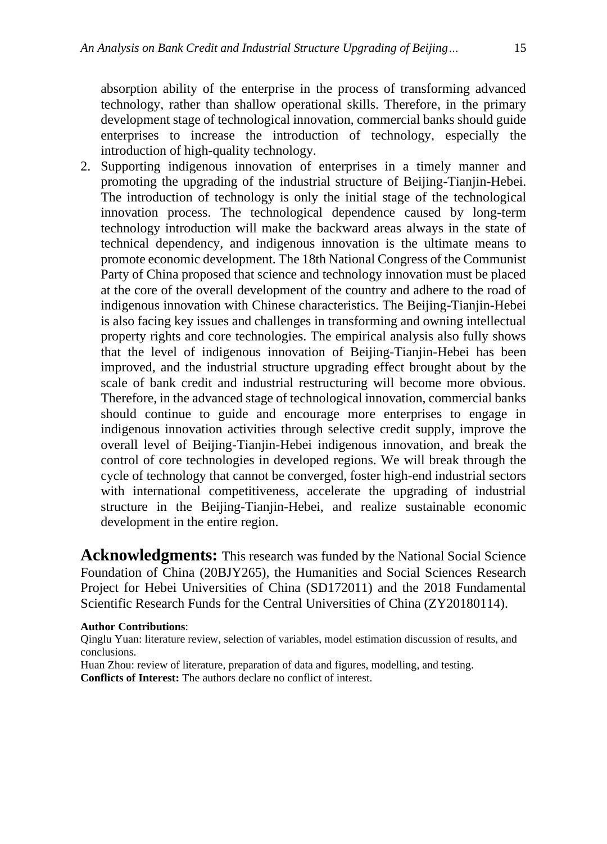absorption ability of the enterprise in the process of transforming advanced technology, rather than shallow operational skills. Therefore, in the primary development stage of technological innovation, commercial banks should guide enterprises to increase the introduction of technology, especially the introduction of high-quality technology.

2. Supporting indigenous innovation of enterprises in a timely manner and promoting the upgrading of the industrial structure of Beijing-Tianjin-Hebei. The introduction of technology is only the initial stage of the technological innovation process. The technological dependence caused by long-term technology introduction will make the backward areas always in the state of technical dependency, and indigenous innovation is the ultimate means to promote economic development. The 18th National Congress of the Communist Party of China proposed that science and technology innovation must be placed at the core of the overall development of the country and adhere to the road of indigenous innovation with Chinese characteristics. The Beijing-Tianjin-Hebei is also facing key issues and challenges in transforming and owning intellectual property rights and core technologies. The empirical analysis also fully shows that the level of indigenous innovation of Beijing-Tianjin-Hebei has been improved, and the industrial structure upgrading effect brought about by the scale of bank credit and industrial restructuring will become more obvious. Therefore, in the advanced stage of technological innovation, commercial banks should continue to guide and encourage more enterprises to engage in indigenous innovation activities through selective credit supply, improve the overall level of Beijing-Tianjin-Hebei indigenous innovation, and break the control of core technologies in developed regions. We will break through the cycle of technology that cannot be converged, foster high-end industrial sectors with international competitiveness, accelerate the upgrading of industrial structure in the Beijing-Tianjin-Hebei, and realize sustainable economic development in the entire region.

Acknowledgments: This research was funded by the National Social Science Foundation of China (20BJY265), the Humanities and Social Sciences Research Project for Hebei Universities of China (SD172011) and the 2018 Fundamental Scientific Research Funds for the Central Universities of China (ZY20180114).

#### **Author Contributions**:

Qinglu Yuan: literature review, selection of variables, model estimation discussion of results, and conclusions.

Huan Zhou: review of literature, preparation of data and figures, modelling, and testing. **Conflicts of Interest:** The authors declare no conflict of interest.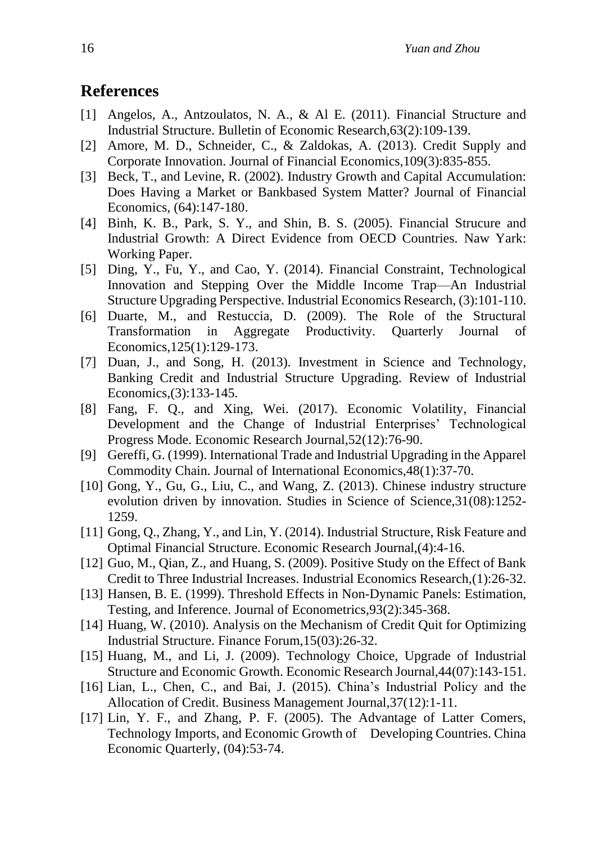## **References**

- [1] Angelos, A., Antzoulatos, N. A., & Al E. (2011). Financial Structure and Industrial Structure. Bulletin of Economic Research,63(2):109-139.
- [2] Amore, M. D., Schneider, C., & Zaldokas, A. (2013). Credit Supply and Corporate Innovation. Journal of Financial Economics,109(3):835-855.
- [3] Beck, T., and Levine, R. (2002). Industry Growth and Capital Accumulation: Does Having a Market or Bankbased System Matter? Journal of Financial Economics, (64):147-180.
- [4] Binh, K. B., Park, S. Y., and Shin, B. S. (2005). Financial Strucure and Industrial Growth: A Direct Evidence from OECD Countries. Naw Yark: Working Paper.
- [5] Ding, Y., Fu, Y., and Cao, Y. (2014). Financial Constraint, Technological Innovation and Stepping Over the Middle Income Trap—An Industrial Structure Upgrading Perspective. Industrial Economics Research, (3):101-110.
- [6] Duarte, M., and Restuccia, D. (2009). The Role of the Structural Transformation in Aggregate Productivity. Quarterly Journal of Economics,125(1):129-173.
- [7] Duan, J., and Song, H. (2013). Investment in Science and Technology, Banking Credit and Industrial Structure Upgrading. Review of Industrial Economics,(3):133-145.
- [8] Fang, F. Q., and Xing, Wei. (2017). Economic Volatility, Financial Development and the Change of Industrial Enterprises' Technological Progress Mode. Economic Research Journal,52(12):76-90.
- [9] Gereffi, G. (1999). International Trade and Industrial Upgrading in the Apparel Commodity Chain. Journal of International Economics,48(1):37-70.
- [10] Gong, Y., Gu, G., Liu, C., and Wang, Z. (2013). Chinese industry structure evolution driven by innovation. Studies in Science of Science,31(08):1252- 1259.
- [11] Gong, Q., Zhang, Y., and Lin, Y. (2014). Industrial Structure, Risk Feature and Optimal Financial Structure. Economic Research Journal,(4):4-16.
- [12] Guo, M., Qian, Z., and Huang, S. (2009). Positive Study on the Effect of Bank Credit to Three Industrial Increases. Industrial Economics Research,(1):26-32.
- [13] Hansen, B. E. (1999). Threshold Effects in Non-Dynamic Panels: Estimation, Testing, and Inference. Journal of Econometrics,93(2):345-368.
- [14] Huang, W. (2010). Analysis on the Mechanism of Credit Quit for Optimizing Industrial Structure. Finance Forum,15(03):26-32.
- [15] Huang, M., and Li, J. (2009). Technology Choice, Upgrade of Industrial Structure and Economic Growth. Economic Research Journal,44(07):143-151.
- [16] Lian, L., Chen, C., and Bai, J. (2015). China's Industrial Policy and the Allocation of Credit. Business Management Journal,37(12):1-11.
- [17] Lin, Y. F., and Zhang, P. F. (2005). The Advantage of Latter Comers, Technology Imports, and Economic Growth of Developing Countries. China Economic Quarterly, (04):53-74.